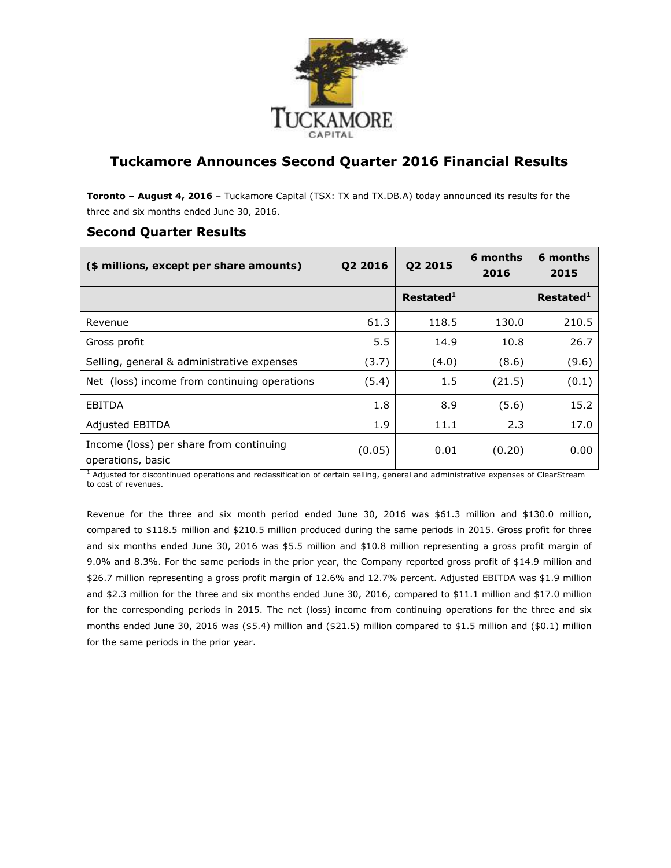

# **Tuckamore Announces Second Quarter 2016 Financial Results**

**Toronto – August 4, 2016** – Tuckamore Capital (TSX: TX and TX.DB.A) today announced its results for the three and six months ended June 30, 2016.

| (\$ millions, except per share amounts)                      | Q2 2016 | Q2 2015               | 6 months<br>2016 | 6 months<br>2015      |
|--------------------------------------------------------------|---------|-----------------------|------------------|-----------------------|
|                                                              |         | Restated <sup>1</sup> |                  | Restated <sup>1</sup> |
| Revenue                                                      | 61.3    | 118.5                 | 130.0            | 210.5                 |
| Gross profit                                                 | 5.5     | 14.9                  | 10.8             | 26.7                  |
| Selling, general & administrative expenses                   | (3.7)   | (4.0)                 | (8.6)            | (9.6)                 |
| Net (loss) income from continuing operations                 | (5.4)   | 1.5                   | (21.5)           | (0.1)                 |
| EBITDA                                                       | 1.8     | 8.9                   | (5.6)            | 15.2                  |
| Adjusted EBITDA                                              | 1.9     | 11.1                  | 2.3              | 17.0                  |
| Income (loss) per share from continuing<br>operations, basic | (0.05)  | 0.01                  | (0.20)           | 0.00                  |

### **Second Quarter Results**

 $<sup>1</sup>$  Adjusted for discontinued operations and reclassification of certain selling, general and administrative expenses of ClearStream</sup> to cost of revenues.

Revenue for the three and six month period ended June 30, 2016 was \$61.3 million and \$130.0 million, compared to \$118.5 million and \$210.5 million produced during the same periods in 2015. Gross profit for three and six months ended June 30, 2016 was \$5.5 million and \$10.8 million representing a gross profit margin of 9.0% and 8.3%. For the same periods in the prior year, the Company reported gross profit of \$14.9 million and \$26.7 million representing a gross profit margin of 12.6% and 12.7% percent. Adjusted EBITDA was \$1.9 million and \$2.3 million for the three and six months ended June 30, 2016, compared to \$11.1 million and \$17.0 million for the corresponding periods in 2015. The net (loss) income from continuing operations for the three and six months ended June 30, 2016 was (\$5.4) million and (\$21.5) million compared to \$1.5 million and (\$0.1) million for the same periods in the prior year.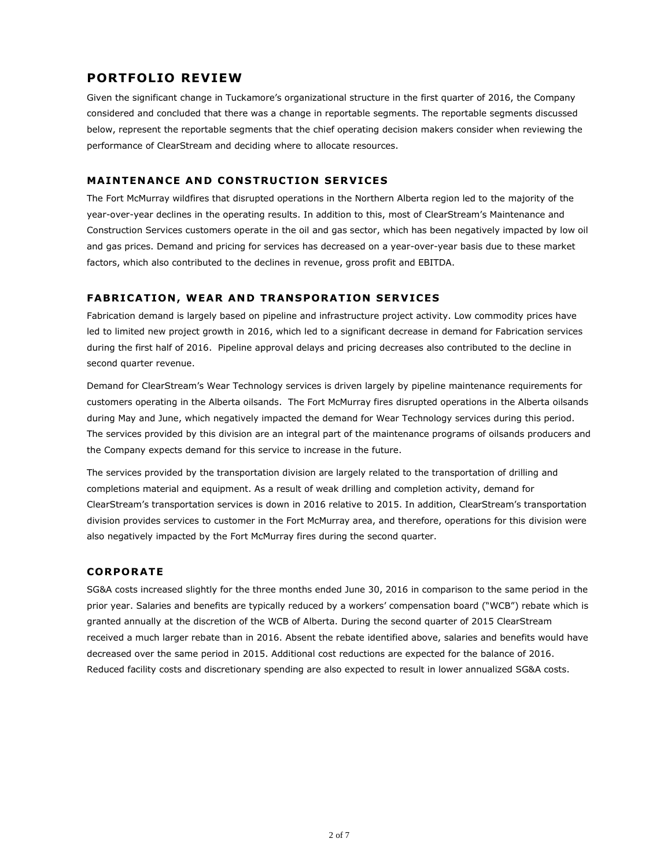## **PORTFOLIO REVIEW**

Given the significant change in Tuckamore's organizational structure in the first quarter of 2016, the Company considered and concluded that there was a change in reportable segments. The reportable segments discussed below, represent the reportable segments that the chief operating decision makers consider when reviewing the performance of ClearStream and deciding where to allocate resources.

### **MAINTENANCE AND CONSTRUCTION SERVICES**

The Fort McMurray wildfires that disrupted operations in the Northern Alberta region led to the majority of the year-over-year declines in the operating results. In addition to this, most of ClearStream's Maintenance and Construction Services customers operate in the oil and gas sector, which has been negatively impacted by low oil and gas prices. Demand and pricing for services has decreased on a year-over-year basis due to these market factors, which also contributed to the declines in revenue, gross profit and EBITDA.

#### **FABRICATION, WEAR AND TRANSPORATION SERVICES**

Fabrication demand is largely based on pipeline and infrastructure project activity. Low commodity prices have led to limited new project growth in 2016, which led to a significant decrease in demand for Fabrication services during the first half of 2016. Pipeline approval delays and pricing decreases also contributed to the decline in second quarter revenue.

Demand for ClearStream's Wear Technology services is driven largely by pipeline maintenance requirements for customers operating in the Alberta oilsands. The Fort McMurray fires disrupted operations in the Alberta oilsands during May and June, which negatively impacted the demand for Wear Technology services during this period. The services provided by this division are an integral part of the maintenance programs of oilsands producers and the Company expects demand for this service to increase in the future.

The services provided by the transportation division are largely related to the transportation of drilling and completions material and equipment. As a result of weak drilling and completion activity, demand for ClearStream's transportation services is down in 2016 relative to 2015. In addition, ClearStream's transportation division provides services to customer in the Fort McMurray area, and therefore, operations for this division were also negatively impacted by the Fort McMurray fires during the second quarter.

#### **CORPORATE**

SG&A costs increased slightly for the three months ended June 30, 2016 in comparison to the same period in the prior year. Salaries and benefits are typically reduced by a workers' compensation board ("WCB") rebate which is granted annually at the discretion of the WCB of Alberta. During the second quarter of 2015 ClearStream received a much larger rebate than in 2016. Absent the rebate identified above, salaries and benefits would have decreased over the same period in 2015. Additional cost reductions are expected for the balance of 2016. Reduced facility costs and discretionary spending are also expected to result in lower annualized SG&A costs.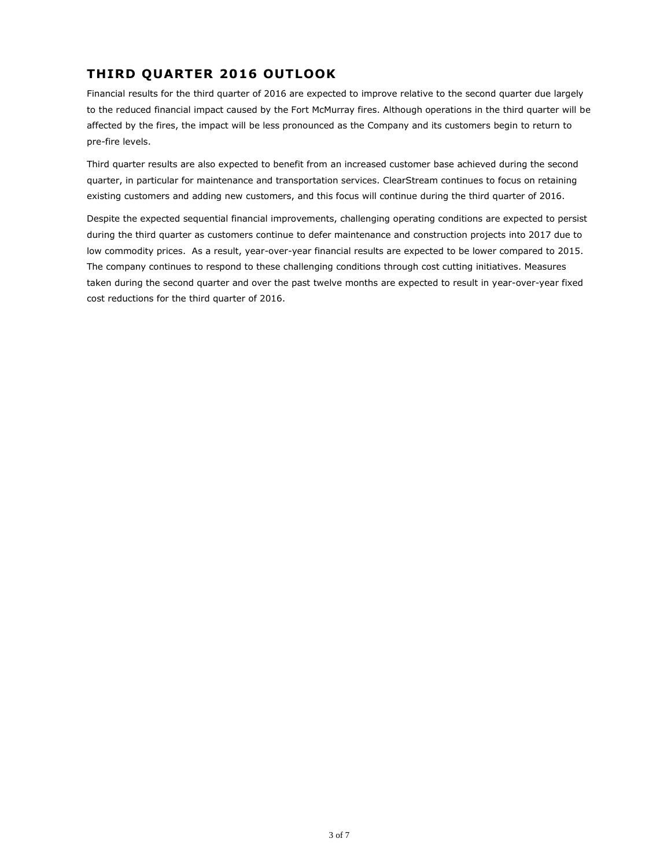# **THIRD QUARTER 2016 OUTLOOK**

Financial results for the third quarter of 2016 are expected to improve relative to the second quarter due largely to the reduced financial impact caused by the Fort McMurray fires. Although operations in the third quarter will be affected by the fires, the impact will be less pronounced as the Company and its customers begin to return to pre-fire levels.

Third quarter results are also expected to benefit from an increased customer base achieved during the second quarter, in particular for maintenance and transportation services. ClearStream continues to focus on retaining existing customers and adding new customers, and this focus will continue during the third quarter of 2016.

Despite the expected sequential financial improvements, challenging operating conditions are expected to persist during the third quarter as customers continue to defer maintenance and construction projects into 2017 due to low commodity prices. As a result, year-over-year financial results are expected to be lower compared to 2015. The company continues to respond to these challenging conditions through cost cutting initiatives. Measures taken during the second quarter and over the past twelve months are expected to result in year-over-year fixed cost reductions for the third quarter of 2016.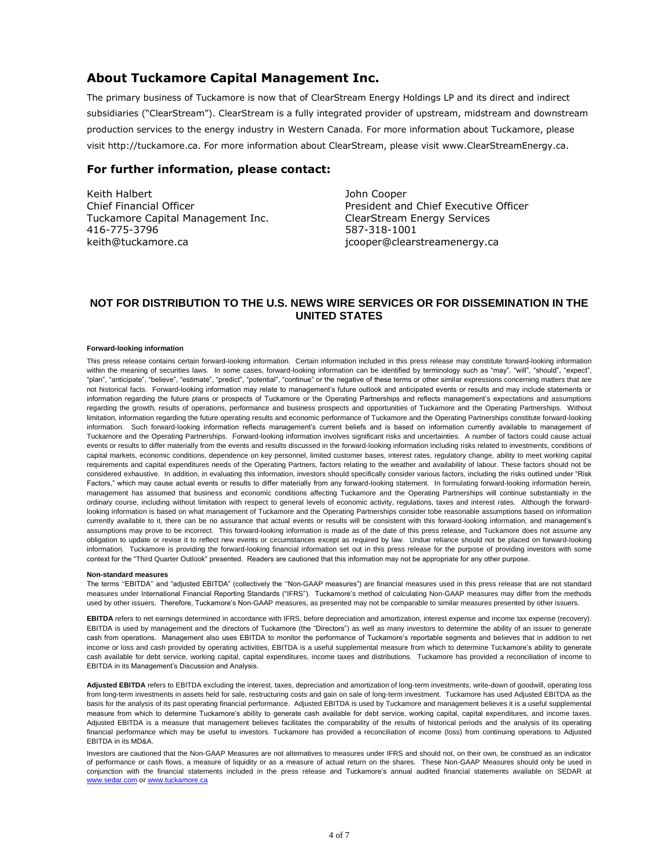### **About Tuckamore Capital Management Inc.**

The primary business of Tuckamore is now that of ClearStream Energy Holdings LP and its direct and indirect subsidiaries ("ClearStream"). ClearStream is a fully integrated provider of upstream, midstream and downstream production services to the energy industry in Western Canada. For more information about Tuckamore, please visit [http://tuckamore.ca.](http://tuckamore.ca/) For more information about ClearStream, please visit [www.ClearStreamEnergy.ca.](http://www.clearstreamenergy.ca/)

### **For further information, please contact:**

Keith Halbert Chief Financial Officer Tuckamore Capital Management Inc. 416-775-3796 keith@tuckamore.ca

John Cooper President and Chief Executive Officer ClearStream Energy Services 587-318-1001 jcooper@clearstreamenergy.ca

### **NOT FOR DISTRIBUTION TO THE U.S. NEWS WIRE SERVICES OR FOR DISSEMINATION IN THE UNITED STATES**

#### **Forward-looking information**

This press release contains certain forward-looking information. Certain information included in this press release may constitute forward-looking information within the meaning of securities laws. In some cases, forward-looking information can be identified by terminology such as "may", "will", "should", "expect", "plan", "anticipate", "believe", "estimate", "predict", "potential", "continue" or the negative of these terms or other similar expressions concerning matters that are not historical facts. Forward-looking information may relate to management's future outlook and anticipated events or results and may include statements or information regarding the future plans or prospects of Tuckamore or the Operating Partnerships and reflects management's expectations and assumptions regarding the growth, results of operations, performance and business prospects and opportunities of Tuckamore and the Operating Partnerships. Without limitation, information regarding the future operating results and economic performance of Tuckamore and the Operating Partnerships constitute forward-looking information. Such forward-looking information reflects management's current beliefs and is based on information currently available to management of Tuckamore and the Operating Partnerships. Forward-looking information involves significant risks and uncertainties. A number of factors could cause actual events or results to differ materially from the events and results discussed in the forward-looking information including risks related to investments, conditions of capital markets, economic conditions, dependence on key personnel, limited customer bases, interest rates, regulatory change, ability to meet working capital requirements and capital expenditures needs of the Operating Partners, factors relating to the weather and availability of labour. These factors should not be considered exhaustive. In addition, in evaluating this information, investors should specifically consider various factors, including the risks outlined under "Risk Factors," which may cause actual events or results to differ materially from any forward-looking statement. In formulating forward-looking information herein, management has assumed that business and economic conditions affecting Tuckamore and the Operating Partnerships will continue substantially in the ordinary course, including without limitation with respect to general levels of economic activity, regulations, taxes and interest rates. Although the forwardlooking information is based on what management of Tuckamore and the Operating Partnerships consider tobe reasonable assumptions based on information currently available to it, there can be no assurance that actual events or results will be consistent with this forward-looking information, and management's assumptions may prove to be incorrect. This forward-looking information is made as of the date of this press release, and Tuckamore does not assume any obligation to update or revise it to reflect new events or circumstances except as required by law. Undue reliance should not be placed on forward-looking information. Tuckamore is providing the forward-looking financial information set out in this press release for the purpose of providing investors with some context for the "Third Quarter Outlook" presented. Readers are cautioned that this information may not be appropriate for any other purpose.

#### **Non-standard measures**

The terms ''EBITDA'' and "adjusted EBITDA" (collectively the ''Non-GAAP measures") are financial measures used in this press release that are not standard measures under International Financial Reporting Standards ("IFRS"). Tuckamore's method of calculating Non-GAAP measures may differ from the methods used by other issuers. Therefore, Tuckamore's Non-GAAP measures, as presented may not be comparable to similar measures presented by other issuers.

**EBITDA** refers to net earnings determined in accordance with IFRS, before depreciation and amortization, interest expense and income tax expense (recovery). EBITDA is used by management and the directors of Tuckamore (the "Directors") as well as many investors to determine the ability of an issuer to generate cash from operations. Management also uses EBITDA to monitor the performance of Tuckamore's reportable segments and believes that in addition to net income or loss and cash provided by operating activities, EBITDA is a useful supplemental measure from which to determine Tuckamore's ability to generate cash available for debt service, working capital, capital expenditures, income taxes and distributions. Tuckamore has provided a reconciliation of income to EBITDA in its Management's Discussion and Analysis.

Adjusted EBITDA refers to EBITDA excluding the interest, taxes, depreciation and amortization of long-term investments, write-down of goodwill, operating loss from long-term investments in assets held for sale, restructuring costs and gain on sale of long-term investment. Tuckamore has used Adjusted EBITDA as the basis for the analysis of its past operating financial performance. Adjusted EBITDA is used by Tuckamore and management believes it is a useful supplemental measure from which to determine Tuckamore's ability to generate cash available for debt service, working capital, capital expenditures, and income taxes. Adjusted EBITDA is a measure that management believes facilitates the comparability of the results of historical periods and the analysis of its operating financial performance which may be useful to investors. Tuckamore has provided a reconciliation of income (loss) from continuing operations to Adjusted EBITDA in its MD&A.

Investors are cautioned that the Non-GAAP Measures are not alternatives to measures under IFRS and should not, on their own, be construed as an indicator of performance or cash flows, a measure of liquidity or as a measure of actual return on the shares. These Non-GAAP Measures should only be used in conjunction with the financial statements included in the press release and Tuckamore's annual audited financial statements available on SEDAR at [www.sedar.com](http://www.sedar.com/) or [www.tuckamore.ca](http://www.tuckamore.ca/)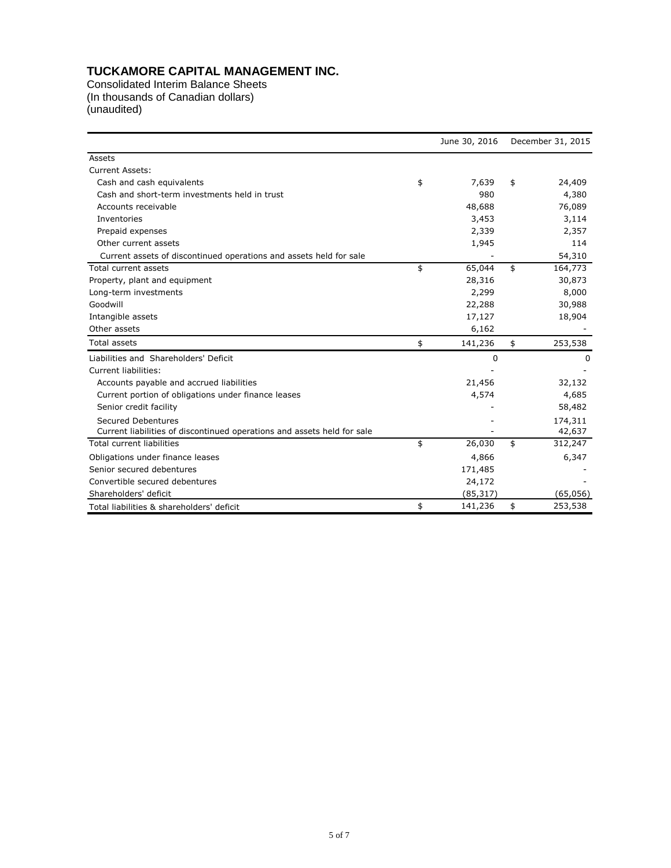# **TUCKAMORE CAPITAL MANAGEMENT INC.**

Consolidated Interim Balance Sheets (In thousands of Canadian dollars) (unaudited)

|                                                                         |    | June 30, 2016 | December 31, 2015 |          |  |
|-------------------------------------------------------------------------|----|---------------|-------------------|----------|--|
| Assets                                                                  |    |               |                   |          |  |
| <b>Current Assets:</b>                                                  |    |               |                   |          |  |
| Cash and cash equivalents                                               | \$ | 7,639         | \$                | 24,409   |  |
| Cash and short-term investments held in trust                           |    | 980           |                   | 4,380    |  |
| Accounts receivable                                                     |    | 48,688        |                   | 76,089   |  |
| Inventories                                                             |    | 3,453         |                   | 3,114    |  |
| Prepaid expenses                                                        |    | 2,339         |                   | 2,357    |  |
| Other current assets                                                    |    | 1,945         |                   | 114      |  |
| Current assets of discontinued operations and assets held for sale      |    |               |                   | 54,310   |  |
| Total current assets                                                    | \$ | 65,044        | \$                | 164,773  |  |
| Property, plant and equipment                                           |    | 28,316        |                   | 30,873   |  |
| Long-term investments                                                   |    | 2,299         |                   | 8,000    |  |
| Goodwill                                                                |    | 22,288        |                   | 30,988   |  |
| Intangible assets                                                       |    | 17,127        |                   | 18,904   |  |
| Other assets                                                            |    | 6,162         |                   |          |  |
| <b>Total assets</b>                                                     | \$ | 141,236       | \$                | 253,538  |  |
| Liabilities and Shareholders' Deficit                                   |    | 0             |                   | 0        |  |
| Current liabilities:                                                    |    |               |                   |          |  |
| Accounts payable and accrued liabilities                                |    | 21,456        |                   | 32,132   |  |
| Current portion of obligations under finance leases                     |    | 4,574         |                   | 4,685    |  |
| Senior credit facility                                                  |    |               |                   | 58,482   |  |
| Secured Debentures                                                      |    |               |                   | 174,311  |  |
| Current liabilities of discontinued operations and assets held for sale |    |               |                   | 42,637   |  |
| <b>Total current liabilities</b>                                        | \$ | 26,030        | \$                | 312,247  |  |
| Obligations under finance leases                                        |    | 4,866         |                   | 6,347    |  |
| Senior secured debentures                                               |    | 171,485       |                   |          |  |
| Convertible secured debentures                                          |    | 24,172        |                   |          |  |
| Shareholders' deficit                                                   |    | (85, 317)     |                   | (65,056) |  |
| Total liabilities & shareholders' deficit                               | \$ | 141,236       | \$                | 253,538  |  |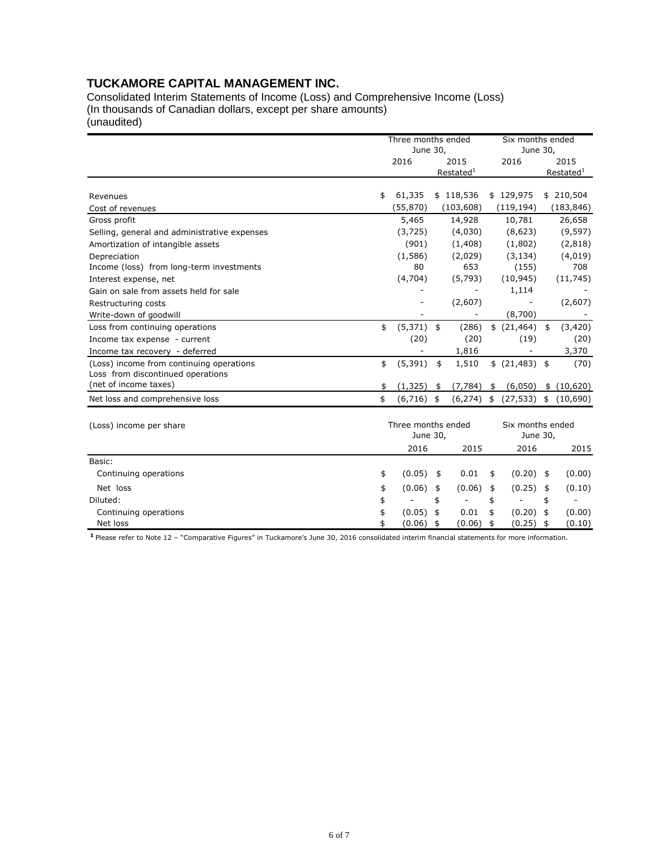### **TUCKAMORE CAPITAL MANAGEMENT INC.**

Consolidated Interim Statements of Income (Loss) and Comprehensive Income (Loss) (In thousands of Canadian dollars, except per share amounts) (unaudited)

|                                              |    | Three months ended<br>June 30, |               |                          |          | Six months ended<br>June 30, |      |                          |  |
|----------------------------------------------|----|--------------------------------|---------------|--------------------------|----------|------------------------------|------|--------------------------|--|
|                                              |    | 2016<br>2015                   |               |                          | 2016     |                              | 2015 |                          |  |
|                                              |    |                                |               | Restated <sup>1</sup>    |          |                              |      | Restated <sup>1</sup>    |  |
|                                              |    |                                |               |                          |          |                              |      |                          |  |
| Revenues                                     | \$ | 61,335                         |               | \$118,536                |          | \$129,975                    |      | \$210,504                |  |
| Cost of revenues                             |    | (55, 870)                      |               | (103, 608)               |          | (119, 194)                   |      | (183, 846)               |  |
| Gross profit                                 |    | 5,465                          |               | 14,928                   |          | 10,781                       |      | 26,658                   |  |
| Selling, general and administrative expenses |    | (3,725)                        |               | (4,030)                  |          | (8,623)                      |      | (9, 597)                 |  |
| Amortization of intangible assets            |    | (901)                          |               | (1,408)                  |          | (1,802)                      |      | (2,818)                  |  |
| Depreciation                                 |    | (1,586)                        |               | (2,029)                  |          | (3, 134)                     |      | (4,019)                  |  |
| Income (loss) from long-term investments     |    | 80                             |               | 653                      |          | (155)                        |      | 708                      |  |
| Interest expense, net                        |    | (4,704)                        |               | (5, 793)                 |          | (10, 945)                    |      | (11, 745)                |  |
| Gain on sale from assets held for sale       |    |                                |               |                          |          | 1,114                        |      |                          |  |
| Restructuring costs                          |    |                                |               | (2,607)                  |          |                              |      | (2,607)                  |  |
| Write-down of goodwill                       |    |                                |               | $\overline{\phantom{a}}$ |          | (8,700)                      |      |                          |  |
| Loss from continuing operations              | \$ | $(5,371)$ \$                   |               | (286)                    |          | \$(21,464)                   | \$   | (3,420)                  |  |
| Income tax expense - current                 |    | (20)                           |               | (20)                     |          | (19)                         |      | (20)                     |  |
| Income tax recovery - deferred               |    |                                |               | 1,816                    |          |                              |      | 3,370                    |  |
| (Loss) income from continuing operations     | \$ | (5, 391)                       | \$            | 1,510                    |          | \$ (21,483) \$               |      | (70)                     |  |
| Loss from discontinued operations            |    |                                |               |                          |          |                              |      |                          |  |
| (net of income taxes)                        |    | (1, 325)                       | \$            | (7, 784)                 | \$       | (6,050)                      |      | \$(10,620)               |  |
| Net loss and comprehensive loss              | \$ | $(6,716)$ \$                   |               | (6, 274)                 | \$       | (27, 533)                    |      | \$(10,690)               |  |
|                                              |    | Three months ended             |               |                          |          | Six months ended             |      |                          |  |
| (Loss) income per share                      |    | June 30,                       |               |                          | June 30, |                              |      |                          |  |
|                                              |    | 2016                           |               | 2015                     |          | 2016                         |      | 2015                     |  |
| Basic:                                       |    |                                |               |                          |          |                              |      |                          |  |
| Continuing operations                        | \$ | (0.05)                         | \$            | 0.01                     | \$       | $(0.20)$ \$                  |      | (0.00)                   |  |
| Net loss                                     | \$ | (0.06)                         | \$            | (0.06)                   | \$       | (0.25)                       | \$   | (0.10)                   |  |
| Diluted:                                     | \$ |                                | \$            | $\overline{\phantom{m}}$ | \$       | $\overline{\phantom{m}}$     | \$   | $\overline{\phantom{a}}$ |  |
| Continuing operations                        | \$ | (0.05)                         | $\frac{4}{3}$ | 0.01                     | \$       | (0.20)                       | \$   | (0.00)                   |  |
| Net loss                                     | \$ | (0.06)                         | \$            | (0.06)                   | \$       | (0.25)                       | \$   | (0.10)                   |  |

**<sup>1</sup>**Please refer to Note 12 – "Comparative Figures" in Tuckamore's June 30, 2016 consolidated interim financial statements for more information.